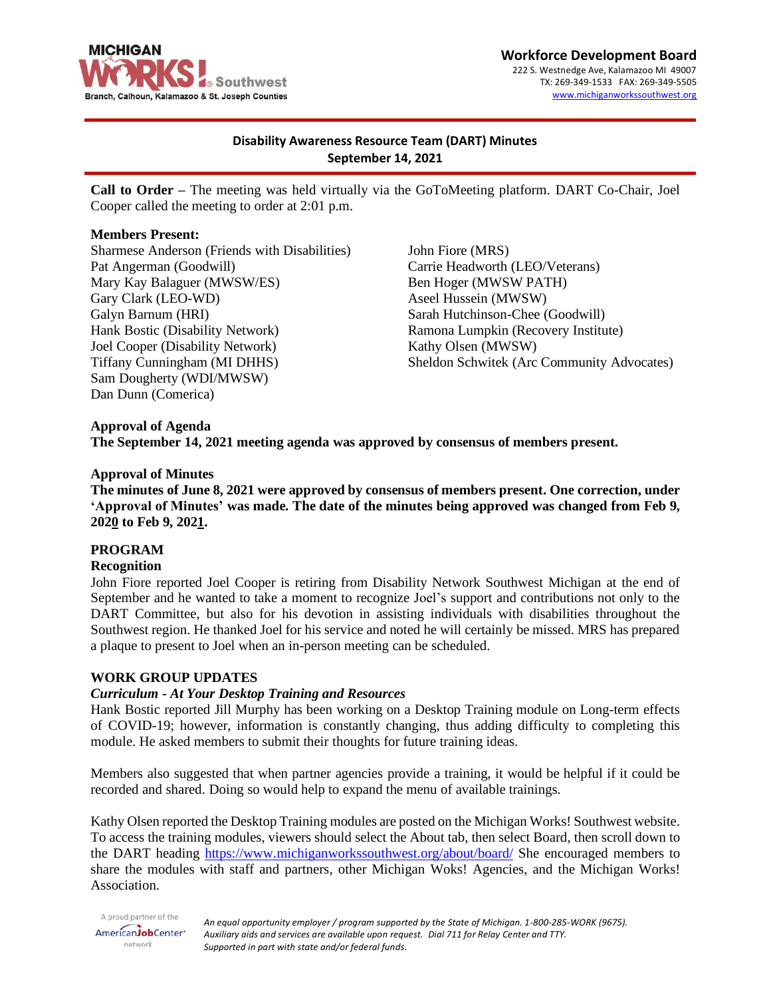

**Workforce Development Board** 222 S. Westnedge Ave, Kalamazoo MI 49007 TX: 269-349-1533 FAX: 269-349-5505 [www.michiganworkssouthwest.org](http://www.michiganworkssouthwest.org/)

# **Disability Awareness Resource Team (DART) Minutes September 14, 2021**

**Call to Order –** The meeting was held virtually via the GoToMeeting platform. DART Co-Chair, Joel Cooper called the meeting to order at 2:01 p.m.

### **Members Present:**

Sharmese Anderson (Friends with Disabilities) Pat Angerman (Goodwill) Mary Kay Balaguer (MWSW/ES) Gary Clark (LEO-WD) Galyn Barnum (HRI) Hank Bostic (Disability Network) Joel Cooper (Disability Network) Tiffany Cunningham (MI DHHS) Sam Dougherty (WDI/MWSW) Dan Dunn (Comerica)

John Fiore (MRS) Carrie Headworth (LEO/Veterans) Ben Hoger (MWSW PATH) Aseel Hussein (MWSW) Sarah Hutchinson-Chee (Goodwill) Ramona Lumpkin (Recovery Institute) Kathy Olsen (MWSW) Sheldon Schwitek (Arc Community Advocates)

### **Approval of Agenda**

**The September 14, 2021 meeting agenda was approved by consensus of members present.**

#### **Approval of Minutes**

**The minutes of June 8, 2021 were approved by consensus of members present. One correction, under 'Approval of Minutes' was made. The date of the minutes being approved was changed from Feb 9, 2020 to Feb 9, 2021.**

# **PROGRAM**

#### **Recognition**

John Fiore reported Joel Cooper is retiring from Disability Network Southwest Michigan at the end of September and he wanted to take a moment to recognize Joel's support and contributions not only to the DART Committee, but also for his devotion in assisting individuals with disabilities throughout the Southwest region. He thanked Joel for his service and noted he will certainly be missed. MRS has prepared a plaque to present to Joel when an in-person meeting can be scheduled.

#### **WORK GROUP UPDATES**

# *Curriculum - At Your Desktop Training and Resources*

Hank Bostic reported Jill Murphy has been working on a Desktop Training module on Long-term effects of COVID-19; however, information is constantly changing, thus adding difficulty to completing this module. He asked members to submit their thoughts for future training ideas.

Members also suggested that when partner agencies provide a training, it would be helpful if it could be recorded and shared. Doing so would help to expand the menu of available trainings.

Kathy Olsen reported the Desktop Training modules are posted on the Michigan Works! Southwest website. To access the training modules, viewers should select the About tab, then select Board, then scroll down to the DART heading<https://www.michiganworkssouthwest.org/about/board/> She encouraged members to share the modules with staff and partners, other Michigan Woks! Agencies, and the Michigan Works! Association.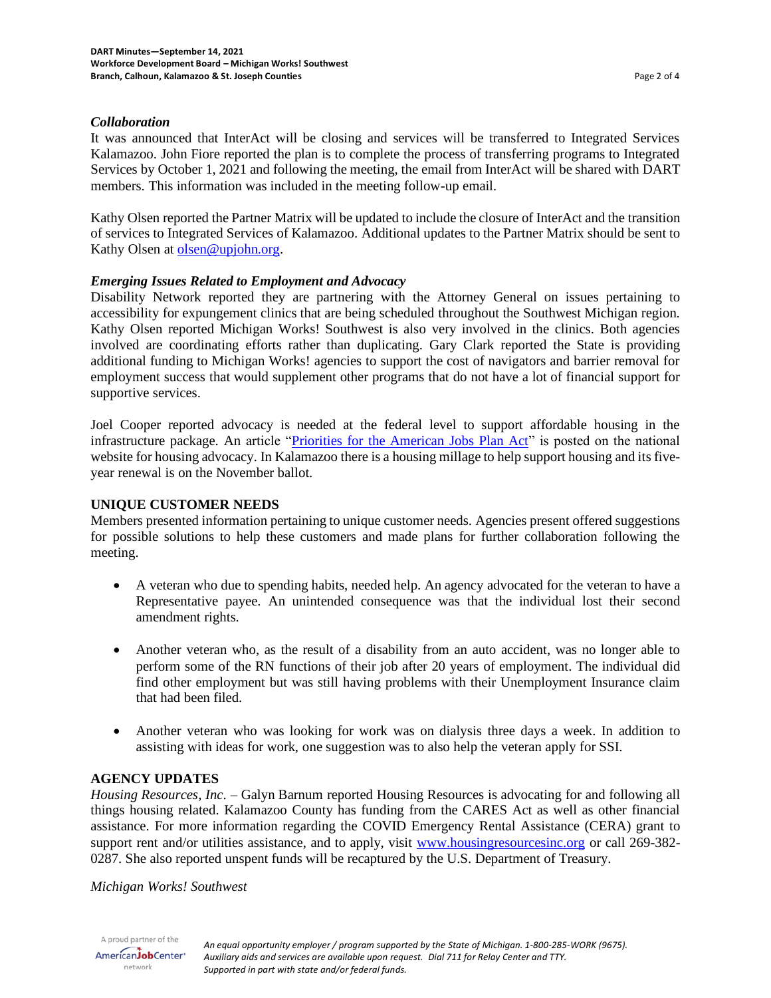### *Collaboration*

It was announced that InterAct will be closing and services will be transferred to Integrated Services Kalamazoo. John Fiore reported the plan is to complete the process of transferring programs to Integrated Services by October 1, 2021 and following the meeting, the email from InterAct will be shared with DART members. This information was included in the meeting follow-up email.

Kathy Olsen reported the Partner Matrix will be updated to include the closure of InterAct and the transition of services to Integrated Services of Kalamazoo. Additional updates to the Partner Matrix should be sent to Kathy Olsen a[t olsen@upjohn.org.](mailto:olsen@upjohn.org)

# *Emerging Issues Related to Employment and Advocacy*

Disability Network reported they are partnering with the Attorney General on issues pertaining to accessibility for expungement clinics that are being scheduled throughout the Southwest Michigan region. Kathy Olsen reported Michigan Works! Southwest is also very involved in the clinics. Both agencies involved are coordinating efforts rather than duplicating. Gary Clark reported the State is providing additional funding to Michigan Works! agencies to support the cost of navigators and barrier removal for employment success that would supplement other programs that do not have a lot of financial support for supportive services.

Joel Cooper reported advocacy is needed at the federal level to support affordable housing in the infrastructure package. An article ["Priorities for the American Jobs Plan Act"](https://nlihc.org/sites/default/files/American_Recovery_Plan.pdf?utm_source=NLIHC+All+Subscribers&utm_campaign=a50e357087-CTA_housed_09132021&utm_medium=email&utm_term=0_e090383b5e-a50e357087-291655285&ct=t(CTA_housed_09132021)) is posted on the national website for housing advocacy. In Kalamazoo there is a housing millage to help support housing and its fiveyear renewal is on the November ballot.

### **UNIQUE CUSTOMER NEEDS**

Members presented information pertaining to unique customer needs. Agencies present offered suggestions for possible solutions to help these customers and made plans for further collaboration following the meeting.

- A veteran who due to spending habits, needed help. An agency advocated for the veteran to have a Representative payee. An unintended consequence was that the individual lost their second amendment rights.
- Another veteran who, as the result of a disability from an auto accident, was no longer able to perform some of the RN functions of their job after 20 years of employment. The individual did find other employment but was still having problems with their Unemployment Insurance claim that had been filed.
- Another veteran who was looking for work was on dialysis three days a week. In addition to assisting with ideas for work, one suggestion was to also help the veteran apply for SSI.

#### **AGENCY UPDATES**

*Housing Resources, Inc*. – Galyn Barnum reported Housing Resources is advocating for and following all things housing related. Kalamazoo County has funding from the CARES Act as well as other financial assistance. For more information regarding the COVID Emergency Rental Assistance (CERA) grant to support rent and/or utilities assistance, and to apply, visit [www.housingresourcesinc.org](http://www.housingresourcesinc.org/) or call 269-382-0287. She also reported unspent funds will be recaptured by the U.S. Department of Treasury.

#### *Michigan Works! Southwest*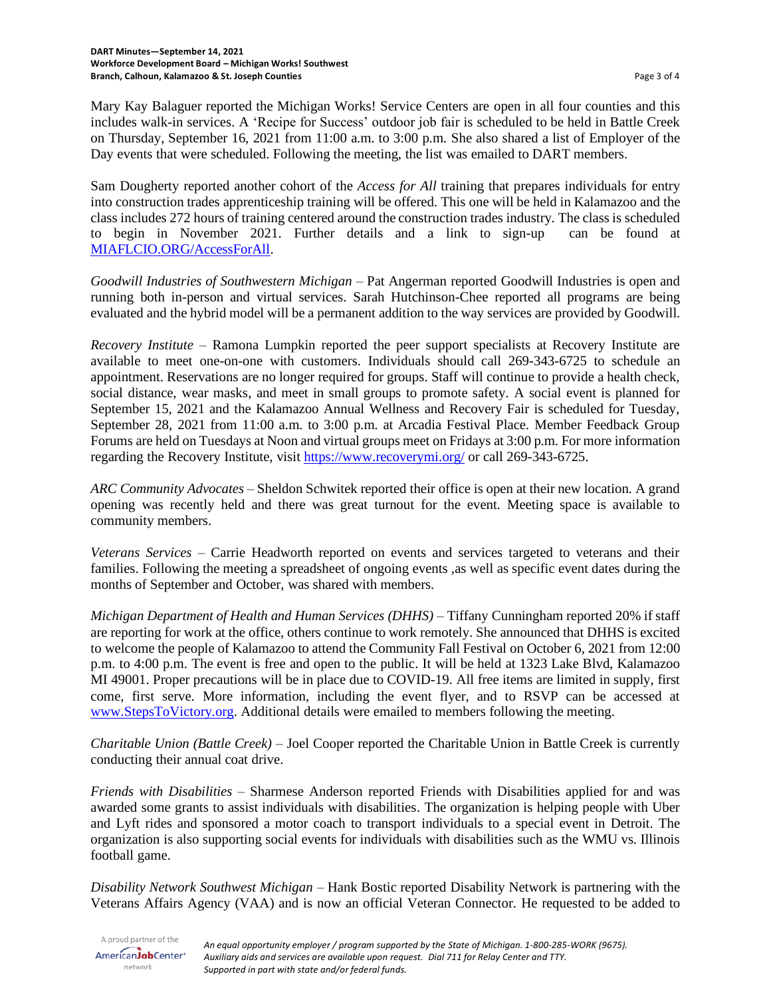Mary Kay Balaguer reported the Michigan Works! Service Centers are open in all four counties and this includes walk-in services. A 'Recipe for Success' outdoor job fair is scheduled to be held in Battle Creek on Thursday, September 16, 2021 from 11:00 a.m. to 3:00 p.m. She also shared a list of Employer of the Day events that were scheduled. Following the meeting, the list was emailed to DART members.

Sam Dougherty reported another cohort of the *Access for All* training that prepares individuals for entry into construction trades apprenticeship training will be offered. This one will be held in Kalamazoo and the class includes 272 hours of training centered around the construction trades industry. The class is scheduled to begin in November 2021. Further details and a link to sign-up can be found at [MIAFLCIO.ORG/AccessForAll.](https://forms.office.com/pages/responsepage.aspx?id=M6uyr6HUDkOJkirRgbLpefe4g8laY8RBuH--r3HxE_hUOUZYME1CMlZMT1dMWDAxSFhWNERXWTBSMy4u)

*Goodwill Industries of Southwestern Michigan* – Pat Angerman reported Goodwill Industries is open and running both in-person and virtual services. Sarah Hutchinson-Chee reported all programs are being evaluated and the hybrid model will be a permanent addition to the way services are provided by Goodwill.

*Recovery Institute* – Ramona Lumpkin reported the peer support specialists at Recovery Institute are available to meet one-on-one with customers. Individuals should call 269-343-6725 to schedule an appointment. Reservations are no longer required for groups. Staff will continue to provide a health check, social distance, wear masks, and meet in small groups to promote safety. A social event is planned for September 15, 2021 and the [Kalamazoo Annual Wellness](https://www.recoverymi.org/wellness-and-recovery-fair-1) and Recovery Fair is scheduled for Tuesday, September 28, 2021 from 11:00 a.m. to 3:00 p.m. at Arcadia Festival Place. Member Feedback Group Forums are held on Tuesdays at Noon and virtual groups meet on Fridays at 3:00 p.m. For more information regarding the Recovery Institute, visit<https://www.recoverymi.org/> or call 269-343-6725.

*ARC Community Advocates* – Sheldon Schwitek reported their office is open at their new location. A grand opening was recently held and there was great turnout for the event. Meeting space is available to community members.

*Veterans Services* – Carrie Headworth reported on events and services targeted to veterans and their families. Following the meeting a spreadsheet of ongoing events ,as well as specific event dates during the months of September and October, was shared with members.

*Michigan Department of Health and Human Services (DHHS)* – Tiffany Cunningham reported 20% if staff are reporting for work at the office, others continue to work remotely. She announced that DHHS is excited to welcome the people of Kalamazoo to attend the Community Fall Festival on October 6, 2021 from 12:00 p.m. to 4:00 p.m. The event is free and open to the public. It will be held at 1323 Lake Blvd, Kalamazoo MI 49001. Proper precautions will be in place due to COVID-19. All free items are limited in supply, first come, first serve. More information, including the event flyer, and to RSVP can be accessed at [www.StepsToVictory.org.](http://www.stepstovictory.org/) Additional details were emailed to members following the meeting.

*Charitable Union (Battle Creek)* – Joel Cooper reported the Charitable Union in Battle Creek is currently conducting their annual coat drive.

*Friends with Disabilities* – Sharmese Anderson reported Friends with Disabilities applied for and was awarded some grants to assist individuals with disabilities. The organization is helping people with Uber and Lyft rides and sponsored a motor coach to transport individuals to a special event in Detroit. The organization is also supporting social events for individuals with disabilities such as the WMU vs. Illinois football game.

*Disability Network Southwest Michigan* – Hank Bostic reported Disability Network is partnering with the Veterans Affairs Agency (VAA) and is now an official Veteran Connector. He requested to be added to